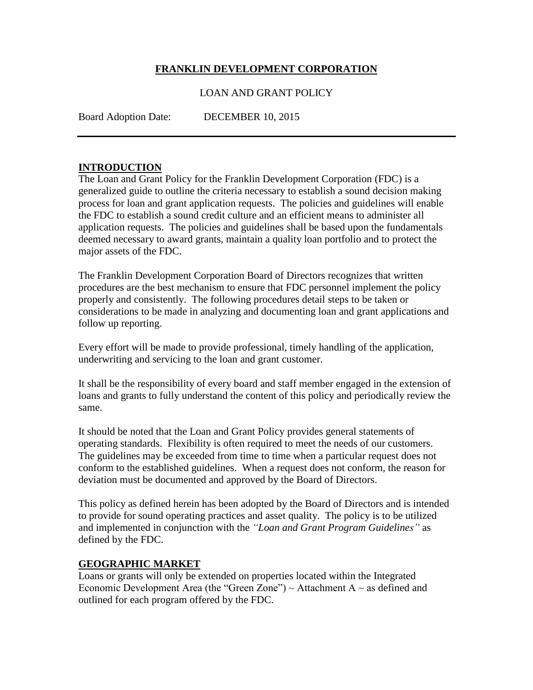#### **FRANKLIN DEVELOPMENT CORPORATION**

#### LOAN AND GRANT POLICY

Board Adoption Date: DECEMBER 10, 2015

#### **INTRODUCTION**

The Loan and Grant Policy for the Franklin Development Corporation (FDC) is a generalized guide to outline the criteria necessary to establish a sound decision making process for loan and grant application requests. The policies and guidelines will enable the FDC to establish a sound credit culture and an efficient means to administer all application requests. The policies and guidelines shall be based upon the fundamentals deemed necessary to award grants, maintain a quality loan portfolio and to protect the major assets of the FDC.

The Franklin Development Corporation Board of Directors recognizes that written procedures are the best mechanism to ensure that FDC personnel implement the policy properly and consistently. The following procedures detail steps to be taken or considerations to be made in analyzing and documenting loan and grant applications and follow up reporting.

Every effort will be made to provide professional, timely handling of the application, underwriting and servicing to the loan and grant customer.

It shall be the responsibility of every board and staff member engaged in the extension of loans and grants to fully understand the content of this policy and periodically review the same.

It should be noted that the Loan and Grant Policy provides general statements of operating standards. Flexibility is often required to meet the needs of our customers. The guidelines may be exceeded from time to time when a particular request does not conform to the established guidelines. When a request does not conform, the reason for deviation must be documented and approved by the Board of Directors.

This policy as defined herein has been adopted by the Board of Directors and is intended to provide for sound operating practices and asset quality. The policy is to be utilized and implemented in conjunction with the *"Loan and Grant Program Guidelines"* as defined by the FDC.

#### **GEOGRAPHIC MARKET**

Loans or grants will only be extended on properties located within the Integrated Economic Development Area (the "Green Zone")  $\sim$  Attachment A  $\sim$  as defined and outlined for each program offered by the FDC.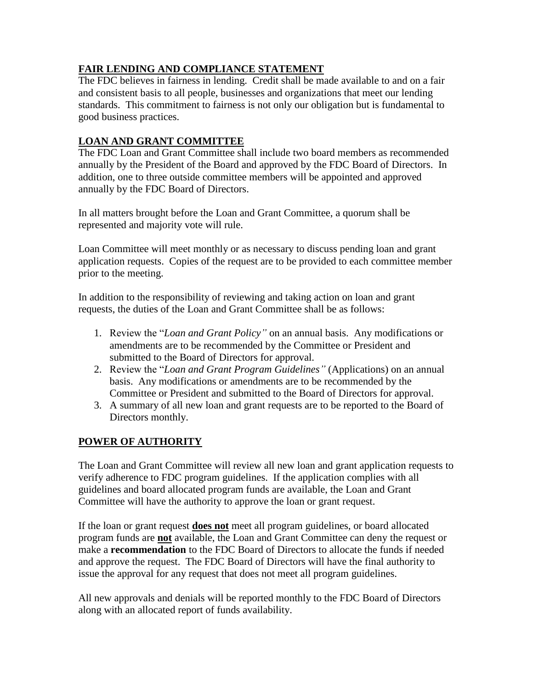# **FAIR LENDING AND COMPLIANCE STATEMENT**

The FDC believes in fairness in lending. Credit shall be made available to and on a fair and consistent basis to all people, businesses and organizations that meet our lending standards. This commitment to fairness is not only our obligation but is fundamental to good business practices.

# **LOAN AND GRANT COMMITTEE**

The FDC Loan and Grant Committee shall include two board members as recommended annually by the President of the Board and approved by the FDC Board of Directors. In addition, one to three outside committee members will be appointed and approved annually by the FDC Board of Directors.

In all matters brought before the Loan and Grant Committee, a quorum shall be represented and majority vote will rule.

Loan Committee will meet monthly or as necessary to discuss pending loan and grant application requests. Copies of the request are to be provided to each committee member prior to the meeting.

In addition to the responsibility of reviewing and taking action on loan and grant requests, the duties of the Loan and Grant Committee shall be as follows:

- 1. Review the "*Loan and Grant Policy"* on an annual basis. Any modifications or amendments are to be recommended by the Committee or President and submitted to the Board of Directors for approval.
- 2. Review the "*Loan and Grant Program Guidelines"* (Applications) on an annual basis. Any modifications or amendments are to be recommended by the Committee or President and submitted to the Board of Directors for approval.
- 3. A summary of all new loan and grant requests are to be reported to the Board of Directors monthly.

# **POWER OF AUTHORITY**

The Loan and Grant Committee will review all new loan and grant application requests to verify adherence to FDC program guidelines. If the application complies with all guidelines and board allocated program funds are available, the Loan and Grant Committee will have the authority to approve the loan or grant request.

If the loan or grant request **does not** meet all program guidelines, or board allocated program funds are **not** available, the Loan and Grant Committee can deny the request or make a **recommendation** to the FDC Board of Directors to allocate the funds if needed and approve the request. The FDC Board of Directors will have the final authority to issue the approval for any request that does not meet all program guidelines.

All new approvals and denials will be reported monthly to the FDC Board of Directors along with an allocated report of funds availability.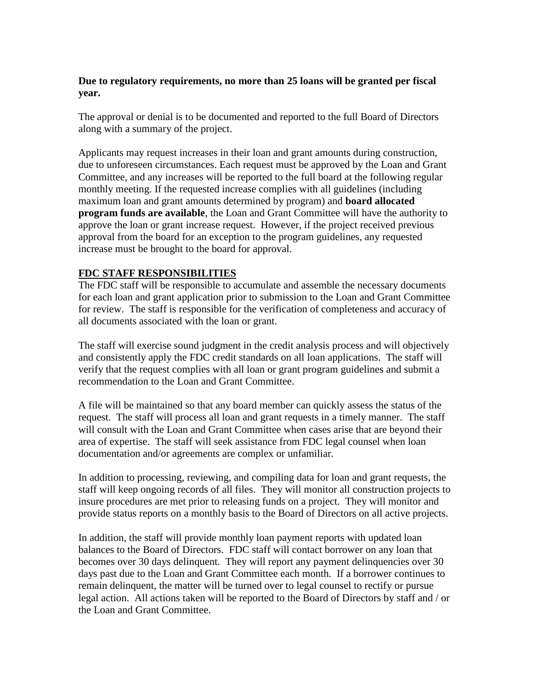#### **Due to regulatory requirements, no more than 25 loans will be granted per fiscal year.**

The approval or denial is to be documented and reported to the full Board of Directors along with a summary of the project.

Applicants may request increases in their loan and grant amounts during construction, due to unforeseen circumstances. Each request must be approved by the Loan and Grant Committee, and any increases will be reported to the full board at the following regular monthly meeting. If the requested increase complies with all guidelines (including maximum loan and grant amounts determined by program) and **board allocated program funds are available**, the Loan and Grant Committee will have the authority to approve the loan or grant increase request. However, if the project received previous approval from the board for an exception to the program guidelines, any requested increase must be brought to the board for approval.

#### **FDC STAFF RESPONSIBILITIES**

The FDC staff will be responsible to accumulate and assemble the necessary documents for each loan and grant application prior to submission to the Loan and Grant Committee for review. The staff is responsible for the verification of completeness and accuracy of all documents associated with the loan or grant.

The staff will exercise sound judgment in the credit analysis process and will objectively and consistently apply the FDC credit standards on all loan applications. The staff will verify that the request complies with all loan or grant program guidelines and submit a recommendation to the Loan and Grant Committee.

A file will be maintained so that any board member can quickly assess the status of the request. The staff will process all loan and grant requests in a timely manner. The staff will consult with the Loan and Grant Committee when cases arise that are beyond their area of expertise. The staff will seek assistance from FDC legal counsel when loan documentation and/or agreements are complex or unfamiliar.

In addition to processing, reviewing, and compiling data for loan and grant requests, the staff will keep ongoing records of all files. They will monitor all construction projects to insure procedures are met prior to releasing funds on a project. They will monitor and provide status reports on a monthly basis to the Board of Directors on all active projects.

In addition, the staff will provide monthly loan payment reports with updated loan balances to the Board of Directors. FDC staff will contact borrower on any loan that becomes over 30 days delinquent. They will report any payment delinquencies over 30 days past due to the Loan and Grant Committee each month. If a borrower continues to remain delinquent, the matter will be turned over to legal counsel to rectify or pursue legal action. All actions taken will be reported to the Board of Directors by staff and / or the Loan and Grant Committee.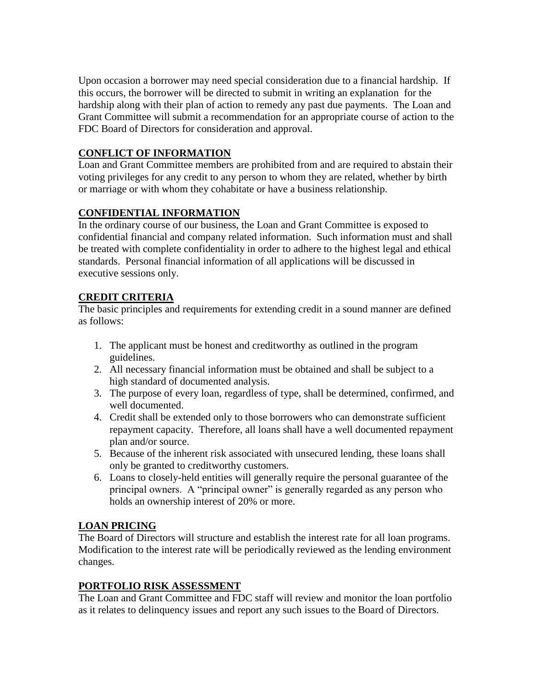Upon occasion a borrower may need special consideration due to a financial hardship. If this occurs, the borrower will be directed to submit in writing an explanation for the hardship along with their plan of action to remedy any past due payments. The Loan and Grant Committee will submit a recommendation for an appropriate course of action to the FDC Board of Directors for consideration and approval.

# **CONFLICT OF INFORMATION**

Loan and Grant Committee members are prohibited from and are required to abstain their voting privileges for any credit to any person to whom they are related, whether by birth or marriage or with whom they cohabitate or have a business relationship.

# **CONFIDENTIAL INFORMATION**

In the ordinary course of our business, the Loan and Grant Committee is exposed to confidential financial and company related information. Such information must and shall be treated with complete confidentiality in order to adhere to the highest legal and ethical standards. Personal financial information of all applications will be discussed in executive sessions only.

# **CREDIT CRITERIA**

The basic principles and requirements for extending credit in a sound manner are defined as follows:

- 1. The applicant must be honest and creditworthy as outlined in the program guidelines.
- 2. All necessary financial information must be obtained and shall be subject to a high standard of documented analysis.
- 3. The purpose of every loan, regardless of type, shall be determined, confirmed, and well documented.
- 4. Credit shall be extended only to those borrowers who can demonstrate sufficient repayment capacity. Therefore, all loans shall have a well documented repayment plan and/or source.
- 5. Because of the inherent risk associated with unsecured lending, these loans shall only be granted to creditworthy customers.
- 6. Loans to closely-held entities will generally require the personal guarantee of the principal owners. A "principal owner" is generally regarded as any person who holds an ownership interest of 20% or more.

## **LOAN PRICING**

The Board of Directors will structure and establish the interest rate for all loan programs. Modification to the interest rate will be periodically reviewed as the lending environment changes.

## **PORTFOLIO RISK ASSESSMENT**

The Loan and Grant Committee and FDC staff will review and monitor the loan portfolio as it relates to delinquency issues and report any such issues to the Board of Directors.